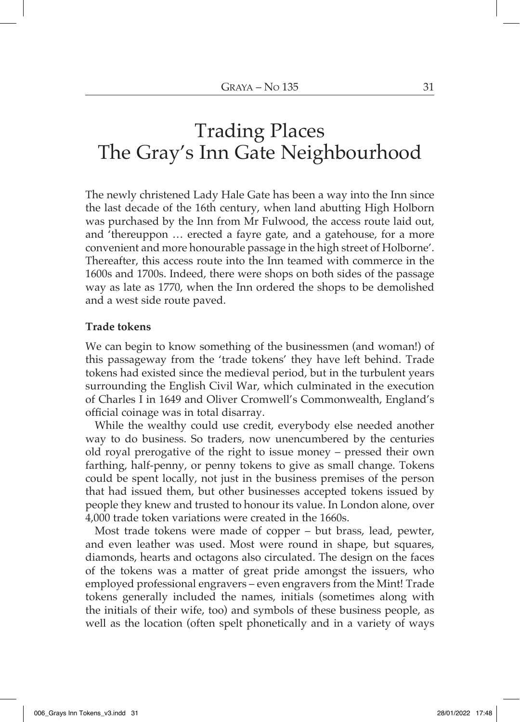# Trading Places The Gray's Inn Gate Neighbourhood

The newly christened Lady Hale Gate has been a way into the Inn since the last decade of the 16th century, when land abutting High Holborn was purchased by the Inn from Mr Fulwood, the access route laid out, and 'thereuppon … erected a fayre gate, and a gatehouse, for a more convenient and more honourable passage in the high street of Holborne'. Thereafter, this access route into the Inn teamed with commerce in the 1600s and 1700s. Indeed, there were shops on both sides of the passage way as late as 1770, when the Inn ordered the shops to be demolished and a west side route paved.

#### **Trade tokens**

We can begin to know something of the businessmen (and woman!) of this passageway from the 'trade tokens' they have left behind. Trade tokens had existed since the medieval period, but in the turbulent years surrounding the English Civil War, which culminated in the execution of Charles I in 1649 and Oliver Cromwell's Commonwealth, England's official coinage was in total disarray.

While the wealthy could use credit, everybody else needed another way to do business. So traders, now unencumbered by the centuries old royal prerogative of the right to issue money – pressed their own farthing, half-penny, or penny tokens to give as small change. Tokens could be spent locally, not just in the business premises of the person that had issued them, but other businesses accepted tokens issued by people they knew and trusted to honour its value. In London alone, over 4,000 trade token variations were created in the 1660s.

Most trade tokens were made of copper – but brass, lead, pewter, and even leather was used. Most were round in shape, but squares, diamonds, hearts and octagons also circulated. The design on the faces of the tokens was a matter of great pride amongst the issuers, who employed professional engravers – even engravers from the Mint! Trade tokens generally included the names, initials (sometimes along with the initials of their wife, too) and symbols of these business people, as well as the location (often spelt phonetically and in a variety of ways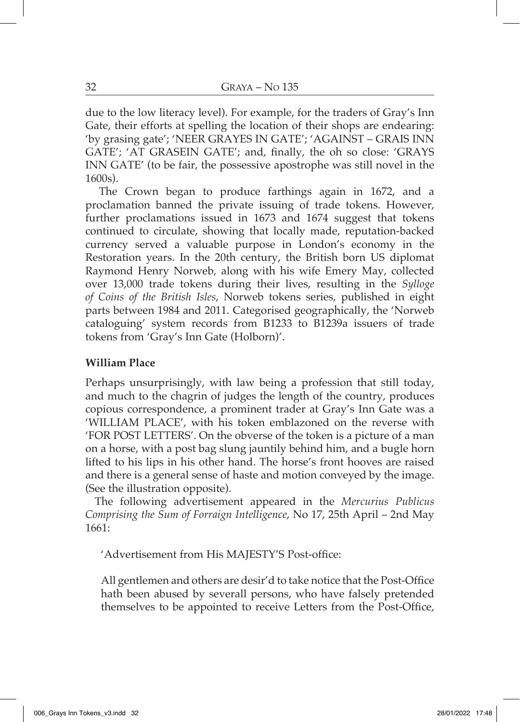due to the low literacy level). For example, for the traders of Gray's Inn Gate, their efforts at spelling the location of their shops are endearing: 'by grasing gate'; 'NEER GRAYES IN GATE'; 'AGAINST – GRAIS INN GATE'; 'AT GRASEIN GATE'; and, finally, the oh so close: 'GRAYS INN GATE' (to be fair, the possessive apostrophe was still novel in the 1600s).

The Crown began to produce farthings again in 1672, and a proclamation banned the private issuing of trade tokens. However, further proclamations issued in 1673 and 1674 suggest that tokens continued to circulate, showing that locally made, reputation-backed currency served a valuable purpose in London's economy in the Restoration years. In the 20th century, the British born US diplomat Raymond Henry Norweb, along with his wife Emery May, collected over 13,000 trade tokens during their lives, resulting in the *Sylloge of Coins of the British Isles*, Norweb tokens series, published in eight parts between 1984 and 2011. Categorised geographically, the 'Norweb cataloguing' system records from B1233 to B1239a issuers of trade tokens from 'Gray's Inn Gate (Holborn)'.

## **William Place**

Perhaps unsurprisingly, with law being a profession that still today, and much to the chagrin of judges the length of the country, produces copious correspondence, a prominent trader at Gray's Inn Gate was a 'WILLIAM PLACE', with his token emblazoned on the reverse with 'FOR POST LETTERS'. On the obverse of the token is a picture of a man on a horse, with a post bag slung jauntily behind him, and a bugle horn lifted to his lips in his other hand. The horse's front hooves are raised and there is a general sense of haste and motion conveyed by the image. (See the illustration opposite).

The following advertisement appeared in the *Mercurius Publicus Comprising the Sum of Forraign Intelligence*, No 17, 25th April – 2nd May 1661:

'Advertisement from His MAJESTY'S Post-office:

All gentlemen and others are desir'd to take notice that the Post-Office hath been abused by severall persons, who have falsely pretended themselves to be appointed to receive Letters from the Post-Office,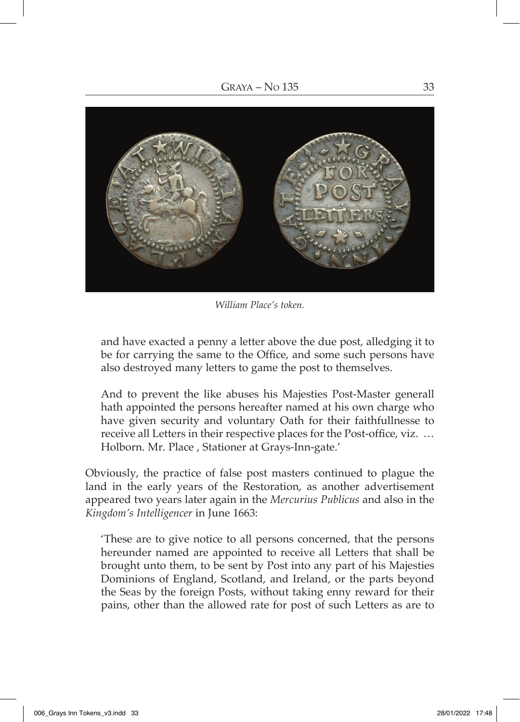

*William Place's token.*

and have exacted a penny a letter above the due post, alledging it to be for carrying the same to the Office, and some such persons have also destroyed many letters to game the post to themselves.

And to prevent the like abuses his Majesties Post-Master generall hath appointed the persons hereafter named at his own charge who have given security and voluntary Oath for their faithfullnesse to receive all Letters in their respective places for the Post-office, viz. … Holborn. Mr. Place , Stationer at Grays-Inn-gate.'

Obviously, the practice of false post masters continued to plague the land in the early years of the Restoration, as another advertisement appeared two years later again in the *Mercurius Publicus* and also in the *Kingdom's Intelligencer* in June 1663:

'These are to give notice to all persons concerned, that the persons hereunder named are appointed to receive all Letters that shall be brought unto them, to be sent by Post into any part of his Majesties Dominions of England, Scotland, and Ireland, or the parts beyond the Seas by the foreign Posts, without taking enny reward for their pains, other than the allowed rate for post of such Letters as are to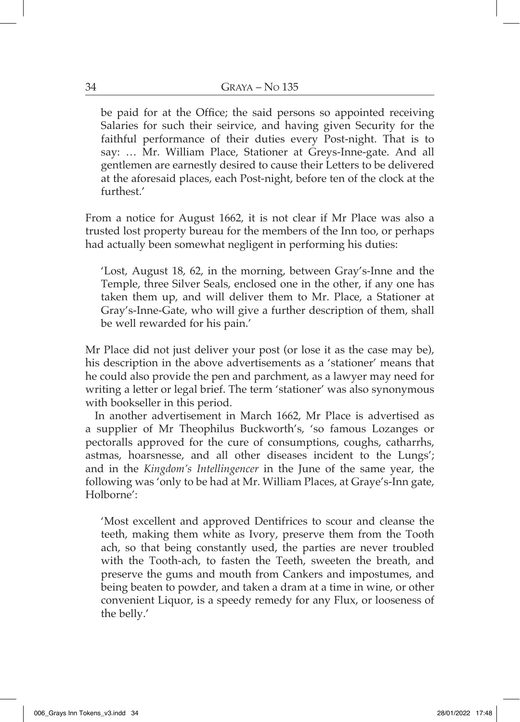be paid for at the Office; the said persons so appointed receiving Salaries for such their seirvice, and having given Security for the faithful performance of their duties every Post-night. That is to say: … Mr. William Place, Stationer at Greys-Inne-gate. And all gentlemen are earnestly desired to cause their Letters to be delivered at the aforesaid places, each Post-night, before ten of the clock at the furthest.'

From a notice for August 1662, it is not clear if Mr Place was also a trusted lost property bureau for the members of the Inn too, or perhaps had actually been somewhat negligent in performing his duties:

'Lost, August 18, 62, in the morning, between Gray's-Inne and the Temple, three Silver Seals, enclosed one in the other, if any one has taken them up, and will deliver them to Mr. Place, a Stationer at Gray's-Inne-Gate, who will give a further description of them, shall be well rewarded for his pain.'

Mr Place did not just deliver your post (or lose it as the case may be), his description in the above advertisements as a 'stationer' means that he could also provide the pen and parchment, as a lawyer may need for writing a letter or legal brief. The term 'stationer' was also synonymous with bookseller in this period.

In another advertisement in March 1662, Mr Place is advertised as a supplier of Mr Theophilus Buckworth's, 'so famous Lozanges or pectoralls approved for the cure of consumptions, coughs, catharrhs, astmas, hoarsnesse, and all other diseases incident to the Lungs'; and in the *Kingdom's Intellingencer* in the June of the same year, the following was 'only to be had at Mr. William Places, at Graye's-Inn gate, Holborne':

'Most excellent and approved Dentifrices to scour and cleanse the teeth, making them white as Ivory, preserve them from the Tooth ach, so that being constantly used, the parties are never troubled with the Tooth-ach, to fasten the Teeth, sweeten the breath, and preserve the gums and mouth from Cankers and impostumes, and being beaten to powder, and taken a dram at a time in wine, or other convenient Liquor, is a speedy remedy for any Flux, or looseness of the belly.'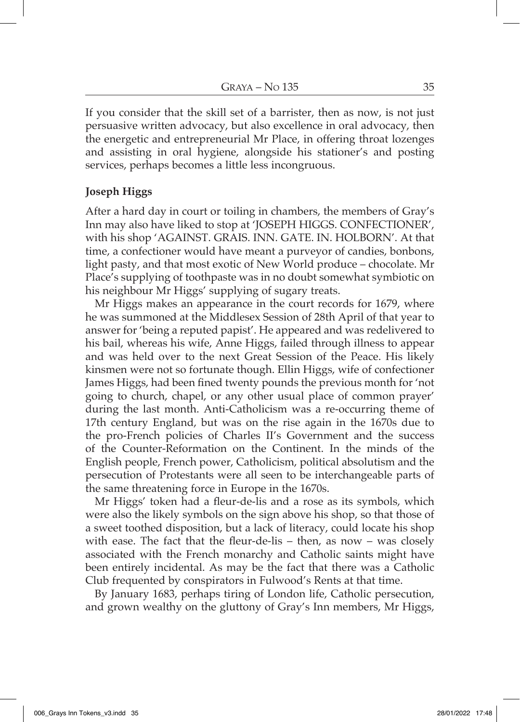If you consider that the skill set of a barrister, then as now, is not just persuasive written advocacy, but also excellence in oral advocacy, then the energetic and entrepreneurial Mr Place, in offering throat lozenges and assisting in oral hygiene, alongside his stationer's and posting services, perhaps becomes a little less incongruous.

## **Joseph Higgs**

After a hard day in court or toiling in chambers, the members of Gray's Inn may also have liked to stop at 'JOSEPH HIGGS. CONFECTIONER', with his shop 'AGAINST. GRAIS. INN. GATE. IN. HOLBORN'. At that time, a confectioner would have meant a purveyor of candies, bonbons, light pasty, and that most exotic of New World produce – chocolate. Mr Place's supplying of toothpaste was in no doubt somewhat symbiotic on his neighbour Mr Higgs' supplying of sugary treats.

Mr Higgs makes an appearance in the court records for 1679, where he was summoned at the Middlesex Session of 28th April of that year to answer for 'being a reputed papist'. He appeared and was redelivered to his bail, whereas his wife, Anne Higgs, failed through illness to appear and was held over to the next Great Session of the Peace. His likely kinsmen were not so fortunate though. Ellin Higgs, wife of confectioner James Higgs, had been fined twenty pounds the previous month for 'not going to church, chapel, or any other usual place of common prayer' during the last month. Anti-Catholicism was a re-occurring theme of 17th century England, but was on the rise again in the 1670s due to the pro-French policies of Charles II's Government and the success of the Counter-Reformation on the Continent. In the minds of the English people, French power, Catholicism, political absolutism and the persecution of Protestants were all seen to be interchangeable parts of the same threatening force in Europe in the 1670s.

Mr Higgs' token had a fleur-de-lis and a rose as its symbols, which were also the likely symbols on the sign above his shop, so that those of a sweet toothed disposition, but a lack of literacy, could locate his shop with ease. The fact that the fleur-de-lis – then, as now – was closely associated with the French monarchy and Catholic saints might have been entirely incidental. As may be the fact that there was a Catholic Club frequented by conspirators in Fulwood's Rents at that time.

By January 1683, perhaps tiring of London life, Catholic persecution, and grown wealthy on the gluttony of Gray's Inn members, Mr Higgs,